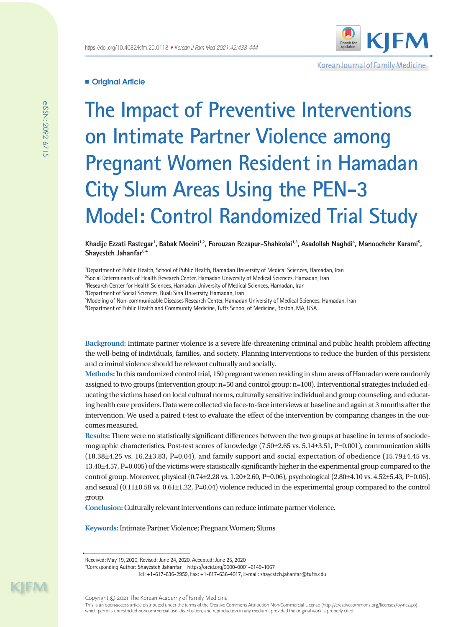

Korean Journal of Family Medicine

# **Original Article**

**The Impact of Preventive Interventions on Intimate Partner Violence among Pregnant Women Resident in Hamadan City Slum Areas Using the PEN-3 Model: Control Randomized Trial Study**

Khadije Ezzati Rastegar', Babak Moeini<sup>1,2</sup>, Forouzan Rezapur-Shahkolai<sup>1,3</sup>, Asadollah Naghdi<sup>4</sup>, Manoochehr Karami<sup>5</sup>, **Shayesteh Jahanfar6,\***

1 Department of Public Health, School of Public Health, Hamadan University of Medical Sciences, Hamadan, Iran

2 Social Determinants of Health Research Center, Hamadan University of Medical Sciences, Hamadan, Iran

3 Research Center for Health Sciences, Hamadan University of Medical Sciences, Hamadan, Iran

4 Department of Social Sciences, Buali Sina University, Hamadan, Iran

5 Modeling of Non-communicable Diseases Research Center, Hamadan University of Medical Sciences, Hamadan, Iran

<sup>6</sup>Department of Public Health and Community Medicine, Tufts School of Medicine, Boston, MA, USA

**Background:** Intimate partner violence is a severe life-threatening criminal and public health problem affecting the well-being of individuals, families, and society. Planning interventions to reduce the burden of this persistent and criminal violence should be relevant culturally and socially.

**Methods:** In this randomized control trial, 150 pregnant women residing in slum areas of Hamadan were randomly assigned to two groups (intervention group: n=50 and control group: n=100). Interventional strategies included educating the victims based on local cultural norms, culturally sensitive individual and group counseling, and educating health care providers. Data were collected via face-to-face interviews at baseline and again at 3 months after the intervention. We used a paired t-test to evaluate the effect of the intervention by comparing changes in the outcomes measured.

**Results:** There were no statistically significant differences between the two groups at baseline in terms of sociodemographic characteristics. Post-test scores of knowledge (7.50±2.65 vs. 5.14±3.51, P=0.001), communication skills  $(18.38\pm4.25 \text{ vs. } 16.2\pm3.83, P=0.04)$ , and family support and social expectation of obedience  $(15.79\pm4.45 \text{ vs. } 16.2\pm3.83)$ 13.40±4.57, P=0.005) of the victims were statistically significantly higher in the experimental group compared to the control group. Moreover, physical (0.74±2.28 vs. 1.20±2.60, P=0.06), psychological (2.80±4.10 vs. 4.52±5.43, P=0.06), and sexual  $(0.11\pm0.58 \text{ vs. } 0.61\pm1.22, P=0.04)$  violence reduced in the experimental group compared to the control group.

**Conclusion:** Culturally relevant interventions can reduce intimate partner violence.

**Keywords:** Intimate Partner Violence; Pregnant Women; Slums

Tel: +1-617-636-2959, Fax: +1-617-636-4017, E-mail: [shayesteh.jahanfar@tufts.edu](mailto:shayesteh.jahanfar@tufts.edu)

KIM

Received: May 19, 2020, Revised: June 24, 2020, Accepted: June 25, 2020

<sup>\*</sup>Corresponding Author: **Shayesteh Jahanfar** https://orcid.org/0000-0001-6149-1067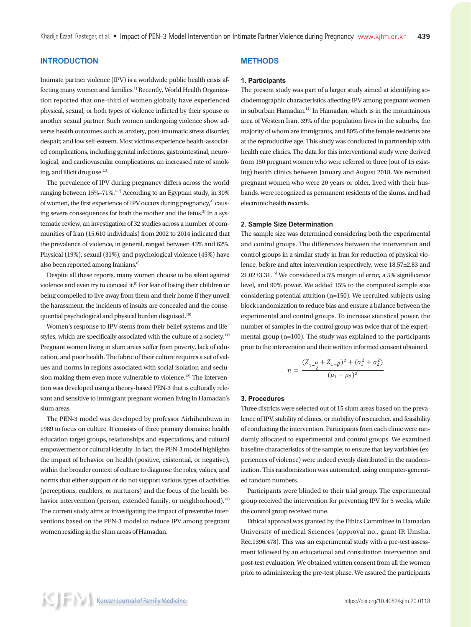# **INTRODUCTION**

Intimate partner violence (IPV) is a worldwide public health crisis affecting many women and families.<sup>1)</sup> Recently, World Health Organization reported that one-third of women globally have experienced physical, sexual, or both types of violence inflicted by their spouse or another sexual partner. Such women undergoing violence show adverse health outcomes such as anxiety, post-traumatic stress disorder, despair, and low self-esteem. Most victims experience health-associated complications, including genital infections, gastrointestinal, neurological, and cardiovascular complications, an increased rate of smoking, and illicit drug use.<sup>2,3)</sup>

The prevalence of IPV during pregnancy differs across the world ranging between  $15\% - 71\%$ <sup>4-7)</sup> According to an Egyptian study, in 30% of women, the first experience of IPV occurs during pregnancy, $4$  causing severe consequences for both the mother and the fetus.<sup>3)</sup> In a systematic review, an investigation of 32 studies across a number of communities of Iran (15,610 individuals) from 2002 to 2014 indicated that the prevalence of violence, in general, ranged between 43% and 62%. Physical (19%), sexual (31%), and psychological violence (45%) have also been reported among Iranians.<sup>8)</sup>

Despite all these reports, many women choose to be silent against violence and even try to conceal it.<sup>9)</sup> For fear of losing their children or being compelled to live away from them and their home if they unveil the harassment, the incidents of insults are concealed and the consequential psychological and physical burden disguised.<sup>10)</sup>

Women's response to IPV stems from their belief systems and lifestyles, which are specifically associated with the culture of a society.<sup>11)</sup> Pregnant women living in slum areas suffer from poverty, lack of education, and poor health. The fabric of their culture requires a set of values and norms in regions associated with social isolation and seclusion making them even more vulnerable to violence.<sup>12)</sup> The intervention was developed using a theory-based PEN-3 that is culturally relevant and sensitive to immigrant pregnant women living in Hamadan's slum areas.

The PEN-3 model was developed by professor Airhihenbuwa in 1989 to focus on culture. It consists of three primary domains: health education target groups, relationships and expectations, and cultural empowerment or cultural identity. In fact, the PEN-3 model highlights the impact of behavior on health (positive, existential, or negative), within the broader context of culture to diagnose the roles, values, and norms that either support or do not support various types of activities (perceptions, enablers, or nurturers) and the focus of the health behavior intervention (person, extended family, or neighborhood).<sup>13)</sup> The current study aims at investigating the impact of preventive interventions based on the PEN-3 model to reduce IPV among pregnant women residing in the slum areas of Hamadan.

# **METHODS**

#### **1. Participants**

The present study was part of a larger study aimed at identifying sociodemographic characteristics affecting IPV among pregnant women in suburban Hamadan.<sup>14)</sup> In Hamadan, which is in the mountainous area of Western Iran, 39% of the population lives in the suburbs, the majority of whom are immigrants, and 80% of the female residents are at the reproductive age. This study was conducted in partnership with health care clinics. The data for this interventional study were derived from 150 pregnant women who were referred to three (out of 15 existing) health clinics between January and August 2018. We recruited pregnant women who were 20 years or older, lived with their husbands, were recognized as permanent residents of the slums, and had electronic health records.

#### **2. Sample Size Determination**

The sample size was determined considering both the experimental and control groups. The differences between the intervention and control groups in a similar study in Iran for reduction of physical violence, before and after intervention respectively, were 18.57±2.83 and  $21.02\pm3.31$ <sup>15)</sup> We considered a 5% margin of error, a 5% significance level, and 90% power. We added 15% to the computed sample size considering potential attrition (n=150). We recruited subjects using block randomization to reduce bias and ensure a balance between the experimental and control groups. To increase statistical power, the number of samples in the control group was twice that of the experimental group (n=100). The study was explained to the participants prior to the intervention and their written informed consent obtained.

$$
n = \frac{(Z_{1-\frac{\alpha}{2}} + Z_{1-\beta})^2 + (\sigma_1^2 + \sigma_2^2)}{(\mu_1 - \mu_2)^2}
$$

### **3. Procedures**

Three districts were selected out of 15 slum areas based on the prevalence of IPV, stability of clinics, or mobility of researcher, and feasibility of conducting the intervention. Participants from each clinic were randomly allocated to experimental and control groups. We examined baseline characteristics of the sample; to ensure that key variables (experiences of violence) were indeed evenly distributed in the randomization. This randomization was automated, using computer-generated random numbers.

Participants were blinded to their trial group. The experimental group received the intervention for preventing IPV for 5 weeks, while the control group received none.

Ethical approval was granted by the Ethics Committee in Hamadan University of medical Sciences (approval no., grant IR Umsha. Rec.1396.478). This was an experimental study with a pre-test assessment followed by an educational and consultation intervention and post-test evaluation. We obtained written consent from all the women prior to administering the pre-test phase. We assured the participants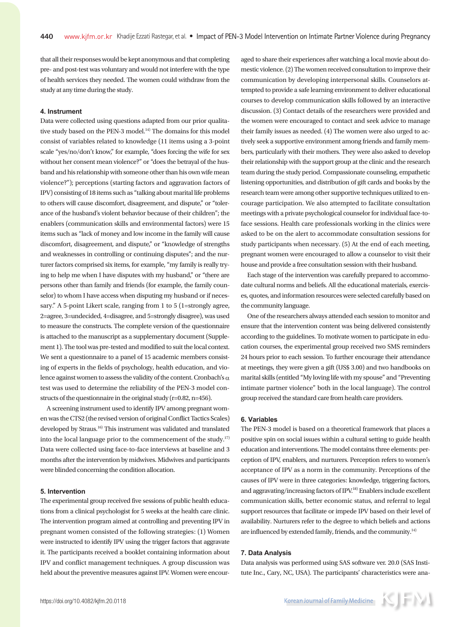that all their responses would be kept anonymous and that completing pre- and post-test was voluntary and would not interfere with the type of health services they needed. The women could withdraw from the study at any time during the study.

### **4. Instrument**

Data were collected using questions adapted from our prior qualitative study based on the PEN-3 model. $14$ <sup>14)</sup> The domains for this model consist of variables related to knowledge (11 items using a 3-point scale "yes/no/don't know," for example, "does forcing the wife for sex without her consent mean violence?" or "does the betrayal of the husband and his relationship with someone other than his own wife mean violence?"); perceptions (starting factors and aggravation factors of IPV) consisting of 18 items such as "talking about marital life problems to others will cause discomfort, disagreement, and dispute," or "tolerance of the husband's violent behavior because of their children"; the enablers (communication skills and environmental factors) were 15 items such as "lack of money and low income in the family will cause discomfort, disagreement, and dispute," or "knowledge of strengths and weaknesses in controlling or continuing disputes"; and the nurturer factors comprised six items, for example, "my family is really trying to help me when I have disputes with my husband," or "there are persons other than family and friends (for example, the family counselor) to whom I have access when disputing my husband or if necessary." A 5-point Likert scale, ranging from 1 to 5 (1=strongly agree, 2=agree, 3=undecided, 4=disagree, and 5=strongly disagree), was used to measure the constructs. The complete version of the questionnaire is attached to the manuscript as a supplementary document (Supplement 1). The tool was pre-tested and modified to suit the local context. We sent a questionnaire to a panel of 15 academic members consisting of experts in the fields of psychology, health education, and violence against women to assess the validity of the content. Cronbach's  $\alpha$ test was used to determine the reliability of the PEN-3 model constructs of the questionnaire in the original study (r=0.82, n=456).

A screening instrument used to identify IPV among pregnant women was the CTS2 (the revised version of original Conflict Tactics Scales) developed by Straus.16) This instrument was validated and translated into the local language prior to the commencement of the study.17) Data were collected using face-to-face interviews at baseline and 3 months after the intervention by midwives. Midwives and participants were blinded concerning the condition allocation.

#### **5. Intervention**

The experimental group received five sessions of public health educations from a clinical psychologist for 5 weeks at the health care clinic. The intervention program aimed at controlling and preventing IPV in pregnant women consisted of the following strategies: (1) Women were instructed to identify IPV using the trigger factors that aggravate it. The participants received a booklet containing information about IPV and conflict management techniques. A group discussion was held about the preventive measures against IPV. Women were encour-

aged to share their experiences after watching a local movie about domestic violence. (2) The women received consultation to improve their communication by developing interpersonal skills. Counselors attempted to provide a safe learning environment to deliver educational courses to develop communication skills followed by an interactive discussion. (3) Contact details of the researchers were provided and the women were encouraged to contact and seek advice to manage their family issues as needed. (4) The women were also urged to actively seek a supportive environment among friends and family members, particularly with their mothers. They were also asked to develop their relationship with the support group at the clinic and the research team during the study period. Compassionate counseling, empathetic listening opportunities, and distribution of gift cards and books by the research team were among other supportive techniques utilized to encourage participation. We also attempted to facilitate consultation meetings with a private psychological counselor for individual face-toface sessions. Health care professionals working in the clinics were asked to be on the alert to accommodate consultation sessions for study participants when necessary. (5) At the end of each meeting, pregnant women were encouraged to allow a counselor to visit their house and provide a free consultation session with their husband.

Each stage of the intervention was carefully prepared to accommodate cultural norms and beliefs. All the educational materials, exercises, quotes, and information resources were selected carefully based on the community language.

One of the researchers always attended each session to monitor and ensure that the intervention content was being delivered consistently according to the guidelines. To motivate women to participate in education courses, the experimental group received two SMS reminders 24 hours prior to each session. To further encourage their attendance at meetings, they were given a gift (US\$ 3.00) and two handbooks on marital skills (entitled "My loving life with my spouse" and "Preventing intimate partner violence" both in the local language). The control group received the standard care from health care providers.

#### **6. Variables**

The PEN-3 model is based on a theoretical framework that places a positive spin on social issues within a cultural setting to guide health education and interventions. The model contains three elements: perception of IPV, enablers, and nurturers. Perception refers to women's acceptance of IPV as a norm in the community. Perceptions of the causes of IPV were in three categories: knowledge, triggering factors, and aggravating/increasing factors of IPV.18) Enablers include excellent communication skills, better economic status, and referral to legal support resources that facilitate or impede IPV based on their level of availability. Nurturers refer to the degree to which beliefs and actions are influenced by extended family, friends, and the community.<sup>14)</sup>

#### **7. Data Analysis**

Data analysis was performed using SAS software ver. 20.0 (SAS Institute Inc., Cary, NC, USA). The participants' characteristics were ana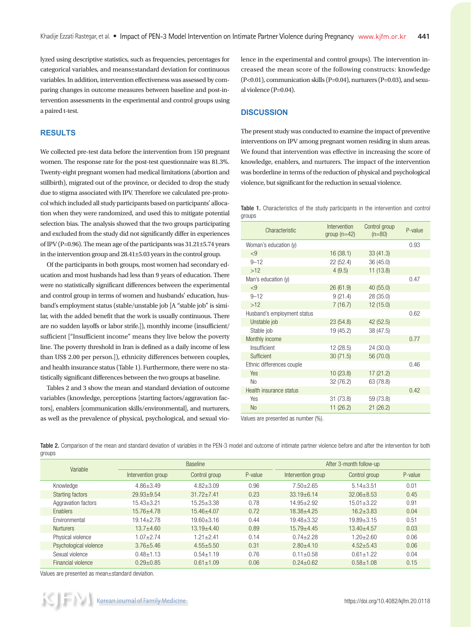lyzed using descriptive statistics, such as frequencies, percentages for categorical variables, and means±standard deviation for continuous variables. In addition, intervention effectiveness was assessed by comparing changes in outcome measures between baseline and post-intervention assessments in the experimental and control groups using a paired t-test.

## **RESULTS**

We collected pre-test data before the intervention from 150 pregnant women. The response rate for the post-test questionnaire was 81.3%. Twenty-eight pregnant women had medical limitations (abortion and stillbirth), migrated out of the province, or decided to drop the study due to stigma associated with IPV. Therefore we calculated pre-protocol which included all study participants based on participants' allocation when they were randomized, and used this to mitigate potential selection bias. The analysis showed that the two groups participating and excluded from the study did not significantly differ in experiences of IPV (P=0.96). The mean age of the participants was 31.21±5.74 years in the intervention group and 28.41±5.03 years in the control group.

Of the participants in both groups, most women had secondary education and most husbands had less than 9 years of education. There were no statistically significant differences between the experimental and control group in terms of women and husbands' education, husband's employment status (stable/unstable job [A "stable job" is similar, with the added benefit that the work is usually continuous. There are no sudden layoffs or labor strife.]), monthly income (insufficient/ sufficient ["Insufficient income" means they live below the poverty line. The poverty threshold in Iran is defined as a daily income of less than US\$ 2.00 per person.]), ethnicity differences between couples, and health insurance status (Table 1). Furthermore, there were no statistically significant differences between the two groups at baseline.

Tables 2 and 3 show the mean and standard deviation of outcome variables (knowledge, perceptions [starting factors/aggravation factors], enablers [communication skills/environmental], and nurturers, as well as the prevalence of physical, psychological, and sexual violence in the experimental and control groups). The intervention increased the mean score of the following constructs: knowledge (P<0.01), communication skills (P=0.04), nurturers (P=0.03), and sexual violence (P=0.04).

### **DISCUSSION**

The present study was conducted to examine the impact of preventive interventions on IPV among pregnant women residing in slum areas. We found that intervention was effective in increasing the score of knowledge, enablers, and nurturers. The impact of the intervention was borderline in terms of the reduction of physical and psychological violence, but significant for the reduction in sexual violence.

Table 1. Characteristics of the study participants in the intervention and control groups

| Characteristic              | Intervention<br>group $(n=42)$ | Control group<br>$(n=80)$ | P-value |
|-----------------------------|--------------------------------|---------------------------|---------|
| Woman's education (y)       |                                |                           | 0.93    |
| $\leq$ 9                    | 16(38.1)                       | 33(41.3)                  |         |
| $9 - 12$                    | 22 (52.4)                      | 36 (45.0)                 |         |
| $>12$                       | 4(9.5)                         | 11(13.8)                  |         |
| Man's education (y)         |                                |                           | 0.47    |
| < 9                         | 26(61.9)                       | 40 (55.0)                 |         |
| $9 - 12$                    | 9(21.4)                        | 28 (35.0)                 |         |
| $>12$                       | 7(16.7)                        | 12(15.0)                  |         |
| Husband's employment status |                                |                           | 0.62    |
| Unstable job                | 23(54.8)                       | 42 (52.5)                 |         |
| Stable job                  | 19 (45.2)                      | 38 (47.5)                 |         |
| Monthly income              |                                |                           | 0.77    |
| Insufficient                | 12 (28.5)                      | 24 (30.0)                 |         |
| Sufficient                  | 30(71.5)                       | 56 (70.0)                 |         |
| Ethnic differences couple   |                                |                           | 0.46    |
| <b>Yes</b>                  | 10(23.8)                       | 17(21.2)                  |         |
| N <sub>0</sub>              | 32 (76.2)                      | 63 (78.8)                 |         |
| Health insurance status     |                                |                           | 0.42    |
| Yes                         | 31(73.8)                       | 59 (73.8)                 |         |
| <b>No</b>                   | 11 (26.2)                      | 21(26.2)                  |         |

Values are presented as number (%).

Table 2. Comparison of the mean and standard deviation of variables in the PEN-3 model and outcome of intimate partner violence before and after the intervention for both groups

| Variable                | <b>Baseline</b>    |                |         | After 3-month follow-up |                |         |
|-------------------------|--------------------|----------------|---------|-------------------------|----------------|---------|
|                         | Intervention group | Control group  | P-value | Intervention group      | Control group  | P-value |
| Knowledge               | $4.86 + 3.49$      | $4.82 + 3.09$  | 0.96    | $7.50 + 2.65$           | $5.14 + 3.51$  | 0.01    |
| <b>Starting factors</b> | $29.93 + 9.54$     | $31.72 + 7.41$ | 0.23    | $33.19 + 6.14$          | $32.06 + 8.53$ | 0.45    |
| Aggravation factors     | $15.43 + 3.21$     | $15.25 + 3.38$ | 0.78    | $14.95 + 2.92$          | $15.01 + 3.22$ | 0.91    |
| <b>Fnablers</b>         | $15.76 + 4.78$     | $15.46 + 4.07$ | 0.72    | $18.38 + 4.25$          | $16.2 + 3.83$  | 0.04    |
| Environmental           | $19.14 + 2.78$     | $19.60 + 3.16$ | 0.44    | $19.48 + 3.32$          | $19.89 + 3.15$ | 0.51    |
| <b>Nurturers</b>        | $13.7 + 4.60$      | $13.19 + 4.40$ | 0.89    | $15.79 + 4.45$          | $13.40 + 4.57$ | 0.03    |
| Physical violence       | $1.07 + 2.74$      | $1.21 + 2.41$  | 0.14    | $0.74 + 2.28$           | $1.20 + 2.60$  | 0.06    |
| Psychological violence  | $3.76 + 5.46$      | $4.55 + 5.50$  | 0.31    | $2.80 + 4.10$           | $4.52 + 5.43$  | 0.06    |
| Sexual violence         | $0.48 + 1.13$      | $0.54 + 1.19$  | 0.76    | $0.11 + 0.58$           | $0.61 + 1.22$  | 0.04    |
| Financial violence      | $0.29 \pm 0.85$    | $0.61 + 1.09$  | 0.06    | $0.24 + 0.62$           | $0.58 + 1.08$  | 0.15    |

Values are presented as mean±standard deviation.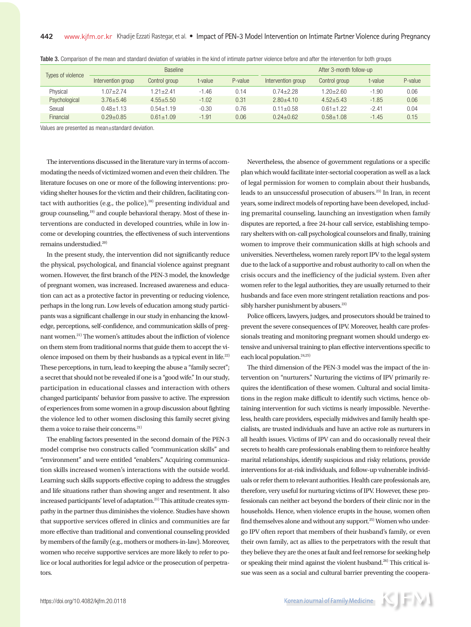| Types of violence | <b>Baseline</b>    |               |         | After 3-month follow-up |                    |               |         |         |
|-------------------|--------------------|---------------|---------|-------------------------|--------------------|---------------|---------|---------|
|                   | Intervention group | Control group | t-value | P-value                 | Intervention group | Control group | t-value | P-value |
| Physical          | $1.07 + 2.74$      | $1.21 + 2.41$ | $-1.46$ | 0.14                    | $0.74 + 2.28$      | $1.20 + 2.60$ | $-1.90$ | 0.06    |
| Psychological     | $3.76 + 5.46$      | $4.55 + 5.50$ | $-1.02$ | 0.31                    | $2.80 + 4.10$      | $4.52 + 5.43$ | $-1.85$ | 0.06    |
| Sexual            | $0.48 + 1.13$      | $0.54 + 1.19$ | $-0.30$ | 0.76                    | $0.11 + 0.58$      | $0.61 + 1.22$ | $-2.41$ | 0.04    |
| Financial         | $0.29 + 0.85$      | $0.61 + 1.09$ | $-1.91$ | 0.06                    | $0.24 + 0.62$      | $0.58 + 1.08$ | $-1.45$ | 0.15    |

Table 3. Comparison of the mean and standard deviation of variables in the kind of intimate partner violence before and after the intervention for both groups

Values are presented as mean±standard deviation.

The interventions discussed in the literature vary in terms of accommodating the needs of victimized women and even their children. The literature focuses on one or more of the following interventions: providing shelter houses for the victim and their children, facilitating contact with authorities (e.g., the police), $18$ ) presenting individual and group counseling,<sup>19)</sup> and couple behavioral therapy. Most of these interventions are conducted in developed countries, while in low income or developing countries, the effectiveness of such interventions remains understudied.<sup>20)</sup>

In the present study, the intervention did not significantly reduce the physical, psychological, and financial violence against pregnant women. However, the first branch of the PEN-3 model, the knowledge of pregnant women, was increased. Increased awareness and education can act as a protective factor in preventing or reducing violence, perhaps in the long run. Low levels of education among study participants was a significant challenge in our study in enhancing the knowledge, perceptions, self-confidence, and communication skills of pregnant women.<sup>21)</sup> The women's attitudes about the infliction of violence on them stem from traditional norms that guide them to accept the violence imposed on them by their husbands as a typical event in life.22) These perceptions, in turn, lead to keeping the abuse a "family secret"; a secret that should not be revealed if one is a "good wife." In our study, participation in educational classes and interaction with others changed participants' behavior from passive to active. The expression of experiences from some women in a group discussion about fighting the violence led to other women disclosing this family secret giving them a voice to raise their concerns.<sup>21)</sup>

The enabling factors presented in the second domain of the PEN-3 model comprise two constructs called "communication skills" and "environment" and were entitled "enablers." Acquiring communication skills increased women's interactions with the outside world. Learning such skills supports effective coping to address the struggles and life situations rather than showing anger and resentment. It also increased participants' level of adaptation.<sup>21)</sup> This attitude creates sympathy in the partner thus diminishes the violence. Studies have shown that supportive services offered in clinics and communities are far more effective than traditional and conventional counseling provided by members of the family (e.g., mothers or mothers-in-law). Moreover, women who receive supportive services are more likely to refer to police or local authorities for legal advice or the prosecution of perpetrators.

Nevertheless, the absence of government regulations or a specific plan which would facilitate inter-sectorial cooperation as well as a lack of legal permission for women to complain about their husbands, leads to an unsuccessful prosecution of abusers.23) In Iran, in recent years, some indirect models of reporting have been developed, including premarital counseling, launching an investigation when family disputes are reported, a free 24-hour call service, establishing temporary shelters with on-call psychological counselors and finally, training women to improve their communication skills at high schools and universities. Nevertheless, women rarely report IPV to the legal system due to the lack of a supportive and robust authority to call on when the crisis occurs and the inefficiency of the judicial system. Even after women refer to the legal authorities, they are usually returned to their husbands and face even more stringent retaliation reactions and possibly harsher punishment by abusers.<sup>23)</sup>

Police officers, lawyers, judges, and prosecutors should be trained to prevent the severe consequences of IPV. Moreover, health care professionals treating and monitoring pregnant women should undergo extensive and universal training to plan effective interventions specific to each local population.<sup>24,25)</sup>

The third dimension of the PEN-3 model was the impact of the intervention on "nurturers." Nurturing the victims of IPV primarily requires the identification of these women. Cultural and social limitations in the region make difficult to identify such victims, hence obtaining intervention for such victims is nearly impossible. Nevertheless, health care providers, especially midwives and family health specialists, are trusted individuals and have an active role as nurturers in all health issues. Victims of IPV can and do occasionally reveal their secrets to health care professionals enabling them to reinforce healthy marital relationships, identify suspicious and risky relations, provide interventions for at-risk individuals, and follow-up vulnerable individuals or refer them to relevant authorities. Health care professionals are, therefore, very useful for nurturing victims of IPV. However, these professionals can neither act beyond the borders of their clinic nor in the households. Hence, when violence erupts in the house, women often find themselves alone and without any support.<sup>25)</sup> Women who undergo IPV often report that members of their husband's family, or even their own family, act as allies to the perpetrators with the result that they believe they are the ones at fault and feel remorse for seeking help or speaking their mind against the violent husband.<sup>26)</sup> This critical issue was seen as a social and cultural barrier preventing the coopera-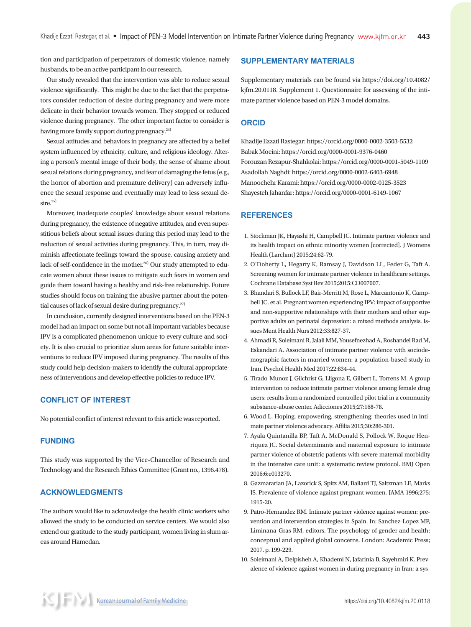tion and participation of perpetrators of domestic violence, namely husbands, to be an active participant in our research.

Our study revealed that the intervention was able to reduce sexual violence significantly. This might be due to the fact that the perpetrators consider reduction of desire during pregnancy and were more delicate in their behavior towards women. They stopped or reduced violence during pregnancy. The other important factor to consider is having more family support during prengnacy.<sup>24)</sup>

Sexual attitudes and behaviors in pregnancy are affected by a belief system influenced by ethnicity, culture, and religious ideology. Altering a person's mental image of their body, the sense of shame about sexual relations during pregnancy, and fear of damaging the fetus (e.g., the horror of abortion and premature delivery) can adversely influence the sexual response and eventually may lead to less sexual de $sire.<sup>25</sup>$ 

Moreover, inadequate couples' knowledge about sexual relations during pregnancy, the existence of negative attitudes, and even superstitious beliefs about sexual issues during this period may lead to the reduction of sexual activities during pregnancy. This, in turn, may diminish affectionate feelings toward the spouse, causing anxiety and lack of self-confidence in the mother.<sup>26)</sup> Our study attempted to educate women about these issues to mitigate such fears in women and guide them toward having a healthy and risk-free relationship. Future studies should focus on training the abusive partner about the potential causes of lack of sexual desire during pregnancy.<sup>27)</sup>

In conclusion, currently designed interventions based on the PEN-3 model had an impact on some but not all important variables because IPV is a complicated phenomenon unique to every culture and society. It is also crucial to prioritize slum areas for future suitable interventions to reduce IPV imposed during pregnancy. The results of this study could help decision-makers to identify the cultural appropriateness of interventions and develop effective policies to reduce IPV.

## **CONFLICT OF INTEREST**

No potential conflict of interest relevant to this article was reported.

### **FUNDING**

This study was supported by the Vice-Chancellor of Research and Technology and the Research Ethics Committee (Grant no., 1396.478).

# **ACKNOWLEDGMENTS**

The authors would like to acknowledge the health clinic workers who allowed the study to be conducted on service centers. We would also extend our gratitude to the study participant, women living in slum areas around Hamedan.

## **SUPPLEMENTARY MATERIALS**

Supplementary materials can be found via https://doi.org/10.4082/ kjfm.20.0118. Supplement 1. Questionnaire for assessing of the intimate partner violence based on PEN-3 model domains.

## **ORCID**

Khadije Ezzati Rastegar: https://orcid.org/0000-0002-3503-5532 Babak Moeini: https://orcid.org/0000-0001-9376-0460 Forouzan Rezapur-Shahkolai: https://orcid.org/0000-0001-5049-1109 Asadollah Naghdi: https://orcid.org/0000-0002-6403-6948 Manoochehr Karami: https://orcid.org/0000-0002-0125-3523 Shayesteh Jahanfar: https://orcid.org/0000-0001-6149-1067

### **REFERENCES**

- 1. Stockman JK, Hayashi H, Campbell JC. Intimate partner violence and its health impact on ethnic minority women [corrected]. J Womens Health (Larchmt) 2015;24:62-79.
- 2. O'Doherty L, Hegarty K, Ramsay J, Davidson LL, Feder G, Taft A. Screening women for intimate partner violence in healthcare settings. Cochrane Database Syst Rev 2015;2015:CD007007.
- 3. Bhandari S, Bullock LF, Bair-Merritt M, Rose L, Marcantonio K, Campbell JC, et al. Pregnant women experiencing IPV: impact of supportive and non-supportive relationships with their mothers and other supportive adults on perinatal depression: a mixed methods analysis. Issues Ment Health Nurs 2012;33:827-37.
- 4. Ahmadi R, Soleimani R, Jalali MM, Yousefnezhad A, Roshandel Rad M, Eskandari A. Association of intimate partner violence with sociodemographic factors in married women: a population-based study in Iran. Psychol Health Med 2017;22:834-44.
- 5. Tirado-Munoz J, Gilchrist G, Lligona E, Gilbert L, Torrens M. A group intervention to reduce intimate partner violence among female drug users: results from a randomized controlled pilot trial in a community substance-abuse center. Adicciones 2015;27:168-78.
- 6. Wood L. Hoping, empowering, strengthening: theories used in intimate partner violence advocacy. Affilia 2015;30:286-301.
- 7. Ayala Quintanilla BP, Taft A, McDonald S, Pollock W, Roque Henriquez JC. Social determinants and maternal exposure to intimate partner violence of obstetric patients with severe maternal morbidity in the intensive care unit: a systematic review protocol. BMJ Open 2016;6:e013270.
- 8. Gazmararian JA, Lazorick S, Spitz AM, Ballard TJ, Saltzman LE, Marks JS. Prevalence of violence against pregnant women. JAMA 1996;275: 1915-20.
- 9. Patro-Hernandez RM. Intimate partner violence against women: prevention and intervention strategies in Spain. In: Sanchez-Lopez MP, Liminana-Gras RM, editors. The psychology of gender and health: conceptual and applied global concerns. London: Academic Press; 2017. p. 199-229.
- 10. Soleimani A, Delpisheh A, Khademi N, Jafarinia B, Sayehmiri K. Prevalence of violence against women in during pregnancy in Iran: a sys-